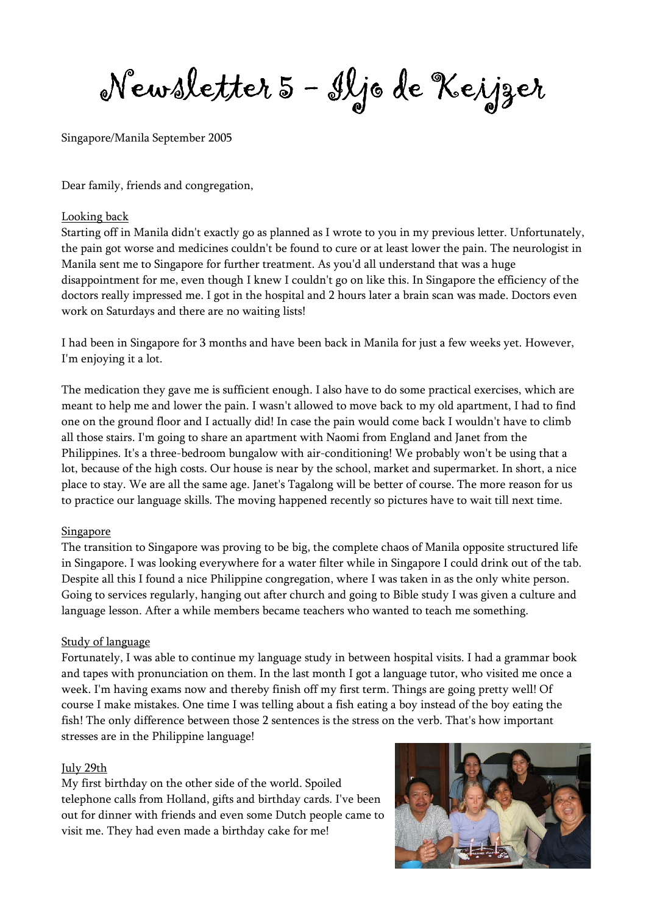Newsletter 5 - Iljo de Keijzer

Singapore/Manila September 2005

Dear family, friends and congregation,

#### Looking back

Starting off in Manila didn't exactly go as planned as I wrote to you in my previous letter. Unfortunately, the pain got worse and medicines couldn't be found to cure or at least lower the pain. The neurologist in Manila sent me to Singapore for further treatment. As you'd all understand that was a huge disappointment for me, even though I knew I couldn't go on like this. In Singapore the efficiency of the doctors really impressed me. I got in the hospital and 2 hours later a brain scan was made. Doctors even work on Saturdays and there are no waiting lists!

I had been in Singapore for 3 months and have been back in Manila for just a few weeks yet. However, I'm enjoying it a lot.

The medication they gave me is sufficient enough. I also have to do some practical exercises, which are meant to help me and lower the pain. I wasn't allowed to move back to my old apartment, I had to find one on the ground floor and I actually did! In case the pain would come back I wouldn't have to climb all those stairs. I'm going to share an apartment with Naomi from England and Janet from the Philippines. It's a three-bedroom bungalow with air-conditioning! We probably won't be using that a lot, because of the high costs. Our house is near by the school, market and supermarket. In short, a nice place to stay. We are all the same age. Janet's Tagalong will be better of course. The more reason for us to practice our language skills. The moving happened recently so pictures have to wait till next time.

#### Singapore

The transition to Singapore was proving to be big, the complete chaos of Manila opposite structured life in Singapore. I was looking everywhere for a water filter while in Singapore I could drink out of the tab. Despite all this I found a nice Philippine congregation, where I was taken in as the only white person. Going to services regularly, hanging out after church and going to Bible study I was given a culture and language lesson. After a while members became teachers who wanted to teach me something.

#### Study of language

Fortunately, I was able to continue my language study in between hospital visits. I had a grammar book and tapes with pronunciation on them. In the last month I got a language tutor, who visited me once a week. I'm having exams now and thereby finish off my first term. Things are going pretty well! Of course I make mistakes. One time I was telling about a fish eating a boy instead of the boy eating the fish! The only difference between those 2 sentences is the stress on the verb. That's how important stresses are in the Philippine language!

#### July 29th

My first birthday on the other side of the world. Spoiled telephone calls from Holland, gifts and birthday cards. I've been out for dinner with friends and even some Dutch people came to visit me. They had even made a birthday cake for me!